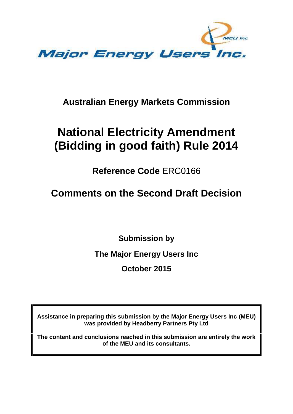

## **Australian Energy Markets Commission**

# **National Electricity Amendment (Bidding in good faith) Rule 2014**

**Reference Code** ERC0166

# **Comments on the Second Draft Decision**

**Submission by**

**The Major Energy Users Inc**

**October 2015**

**Assistance in preparing this submission by the Major Energy Users Inc (MEU) was provided by Headberry Partners Pty Ltd**

**The content and conclusions reached in this submission are entirely the work of the MEU and its consultants.**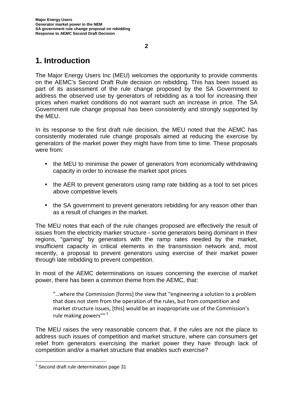### **1. Introduction**

The Major Energy Users Inc (MEU) welcomes the opportunity to provide comments on the AEMC's Second Draft Rule decision on rebidding. This has been issued as part of its assessment of the rule change proposed by the SA Government to address the observed use by generators of rebidding as a tool for increasing their prices when market conditions do not warrant such an increase in price. The SA Government rule change proposal has been consistently and strongly supported by the MEU.

In its response to the first draft rule decision, the MEU noted that the AEMC has consistently moderated rule change proposals aimed at reducing the exercise by generators of the market power they might have from time to time. These proposals were from:

- the MEU to minimise the power of generators from economically withdrawing capacity in order to increase the market spot prices
- the AER to prevent generators using ramp rate bidding as a tool to set prices above competitive levels
- the SA government to prevent generators rebidding for any reason other than as a result of changes in the market.

The MEU notes that each of the rule changes proposed are effectively the result of issues from the electricity marker structure - some generators being dominant in their regions, "gaming" by generators with the ramp rates needed by the market, insufficient capacity in critical elements in the transmission network and, most recently, a proposal to prevent generators using exercise of their market power through late rebidding to prevent competition.

In most of the AEMC determinations on issues concerning the exercise of market power, there has been a common theme from the AEMC, that:

"…where the Commission [forms] the view that "engineering a solution to a problem that does not stem from the operation of the rules, but from competition and market structure issues, [this] would be an inappropriate use of the Commission's rule making powers"" <sup>1</sup>

The MEU raises the very reasonable concern that, if the rules are not the place to address such issues of competition and market structure, where can consumers get relief from generators exercising the market power they have through lack of competition and/or a market structure that enables such exercise?

**2**

 $<sup>1</sup>$  Second draft rule determination page 31</sup>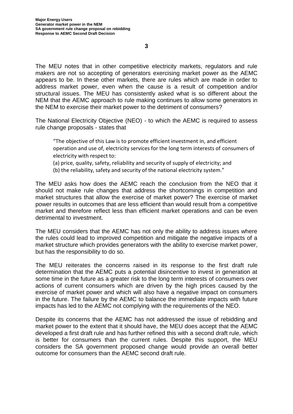The MEU notes that in other competitive electricity markets, regulators and rule makers are not so accepting of generators exercising market power as the AEMC appears to be. In these other markets, there are rules which are made in order to address market power, even when the cause is a result of competition and/or structural issues. The MEU has consistently asked what is so different about the NEM that the AEMC approach to rule making continues to allow some generators in the NEM to exercise their market power to the detriment of consumers?

The National Electricity Objective (NEO) - to which the AEMC is required to assess rule change proposals - states that

"The objective of this Law is to promote efficient investment in, and efficient operation and use of, electricity services for the long term interests of consumers of electricity with respect to:

(a) price, quality, safety, reliability and security of supply of electricity; and

(b) the reliability, safety and security of the national electricity system."

The MEU asks how does the AEMC reach the conclusion from the NEO that it should not make rule changes that address the shortcomings in competition and market structures that allow the exercise of market power? The exercise of market power results in outcomes that are less efficient than would result from a competitive market and therefore reflect less than efficient market operations and can be even detrimental to investment.

The MEU considers that the AEMC has not only the ability to address issues where the rules could lead to improved competition and mitigate the negative impacts of a market structure which provides generators with the ability to exercise market power, but has the responsibility to do so.

The MEU reiterates the concerns raised in its response to the first draft rule determination that the AEMC puts a potential disincentive to invest in generation at some time in the future as a greater risk to the long term interests of consumers over actions of current consumers which are driven by the high prices caused by the exercise of market power and which will also have a negative impact on consumers in the future. The failure by the AEMC to balance the immediate impacts with future impacts has led to the AEMC not complying with the requirements of the NEO.

Despite its concerns that the AEMC has not addressed the issue of rebidding and market power to the extent that it should have, the MEU does accept that the AEMC developed a first draft rule and has further refined this with a second draft rule, which is better for consumers than the current rules. Despite this support, the MEU considers the SA government proposed change would provide an overall better outcome for consumers than the AEMC second draft rule.

**3**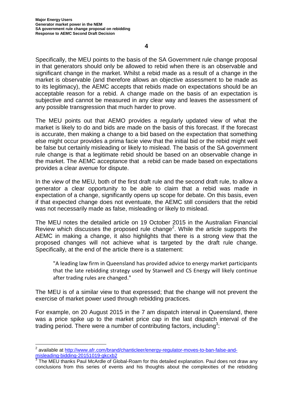Specifically, the MEU points to the basis of the SA Government rule change proposal in that generators should only be allowed to rebid when there is an observable and significant change in the market. Whilst a rebid made as a result of a change in the market is observable (and therefore allows an objective assessment to be made as to its legitimacy), the AEMC accepts that rebids made on expectations should be an acceptable reason for a rebid. A change made on the basis of an expectation is subjective and cannot be measured in any clear way and leaves the assessment of any possible transgression that much harder to prove.

The MEU points out that AEMO provides a regularly updated view of what the market is likely to do and bids are made on the basis of this forecast. If the forecast is accurate, then making a change to a bid based on the expectation that something else might occur provides a prima facie view that the initial bid or the rebid might well be false but certainly misleading or likely to mislead. The basis of the SA government rule change is that a legitimate rebid should be based on an observable change in the market. The AEMC acceptance that a rebid can be made based on expectations provides a clear avenue for dispute.

In the view of the MEU, both of the first draft rule and the second draft rule, to allow a generator a clear opportunity to be able to claim that a rebid was made in expectation of a change, significantly opens up scope for debate. On this basis, even if that expected change does not eventuate, the AEMC still considers that the rebid was not necessarily made as false, misleading or likely to mislead.

The MEU notes the detailed article on 19 October 2015 in the Australian Financial Review which discusses the proposed rule change<sup>2</sup>. While the article supports the AEMC in making a change, it also highlights that there is a strong view that the proposed changes will not achieve what is targeted by the draft rule change. Specifically, at the end of the article there is a statement:

"A leading law firm in Queensland has provided advice to energy market participants that the late rebidding strategy used by Stanwell and CS Energy will likely continue after trading rules are changed."

The MEU is of a similar view to that expressed; that the change will not prevent the exercise of market power used through rebidding practices.

For example, on 20 August 2015 in the 7 am dispatch interval in Queensland, there was a price spike up to the market price cap in the last dispatch interval of the trading period. There were a number of contributing factors, including<sup>3</sup>:

<sup>&</sup>lt;sup>2</sup> available at http://www.afr.com/brand/chanticleer/energy-regulator-moves-to-ban-false-andmisleading-bidding-20151019-gkcxb2

<sup>&</sup>lt;sup>3</sup> The MEU thanks Paul McArdle of Global-Roam for this detailed explanation. Paul does not draw any conclusions from this series of events and his thoughts about the complexities of the rebidding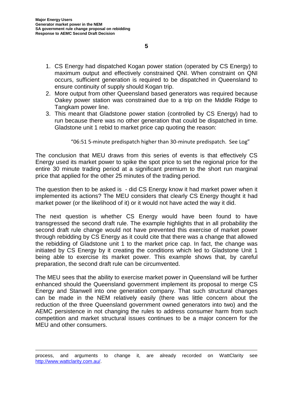- 1. CS Energy had dispatched Kogan power station (operated by CS Energy) to maximum output and effectively constrained QNI. When constraint on QNI occurs, sufficient generation is required to be dispatched in Queensland to ensure continuity of supply should Kogan trip.
- 2. More output from other Queensland based generators was required because Oakey power station was constrained due to a trip on the Middle Ridge to Tangkam power line.
- 3. This meant that Gladstone power station (controlled by CS Energy) had to run because there was no other generation that could be dispatched in time. Gladstone unit 1 rebid to market price cap quoting the reason:

#### "06:51 5-minute predispatch higher than 30-minute predispatch. See Log"

The conclusion that MEU draws from this series of events is that effectively CS Energy used its market power to spike the spot price to set the regional price for the entire 30 minute trading period at a significant premium to the short run marginal price that applied for the other 25 minutes of the trading period.

The question then to be asked is - did CS Energy know it had market power when it implemented its actions? The MEU considers that clearly CS Energy thought it had market power (or the likelihood of it) or it would not have acted the way it did.

The next question is whether CS Energy would have been found to have transgressed the second draft rule. The example highlights that in all probability the second draft rule change would not have prevented this exercise of market power through rebidding by CS Energy as it could cite that there was a change that allowed the rebidding of Gladstone unit 1 to the market price cap. In fact, the change was initiated by CS Energy by it creating the conditions which led to Gladstone Unit 1 being able to exercise its market power. This example shows that, by careful preparation, the second draft rule can be circumvented.

The MEU sees that the ability to exercise market power in Queensland will be further enhanced should the Queensland government implement its proposal to merge CS Energy and Stanwell into one generation company. That such structural changes can be made in the NEM relatively easily (there was little concern about the reduction of the three Queensland government owned generators into two) and the AEMC persistence in not changing the rules to address consumer harm from such competition and market structural issues continues to be a major concern forthe MEU and other consumers.

process, and arguments to change it, are already recorded on WattClarity see http://www.wattclarity.com.au/.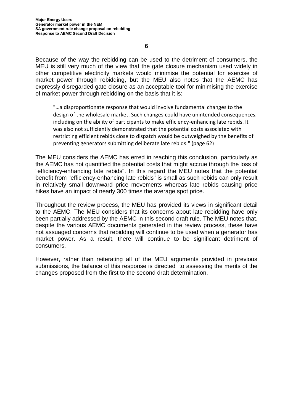Because of the way the rebidding can be used to the detriment of consumers, the MEU is still very much of the view that the gate closure mechanism used widely in other competitive electricity markets would minimise the potential for exercise of market power through rebidding, but the MEU also notes that the AEMC has expressly disregarded gate closure as an acceptable tool for minimising the exercise of market power through rebidding on the basis that it is:

"…a disproportionate response that would involve fundamental changes to the design of the wholesale market. Such changes could have unintended consequences, including on the ability of participants to make efficiency-enhancing late rebids. It was also not sufficiently demonstrated that the potential costs associated with restricting efficient rebids close to dispatch would be outweighed by the benefits of preventing generators submitting deliberate late rebids." (page 62)

The MEU considers the AEMC has erred in reaching this conclusion, particularly as the AEMC has not quantified the potential costs that might accrue through the loss of "efficiency-enhancing late rebids". In this regard the MEU notes that the potential benefit from "efficiency-enhancing late rebids" is small as such rebids can only result in relatively small downward price movements whereas late rebids causing price hikes have an impact of nearly 300 times the average spot price.

Throughout the review process, the MEU has provided its views in significant detail to the AEMC. The MEU considers that its concerns about late rebidding have only been partially addressed by the AEMC in this second draft rule. The MEU notes that, despite the various AEMC documents generated in the review process, these have not assuaged concerns that rebidding will continue to be used when a generator has market power. As a result, there will continue to be significant detriment of consumers.

However, rather than reiterating all of the MEU arguments provided in previous submissions, the balance of this response is directed to assessing the merits of the changes proposed from the first to the second draft determination.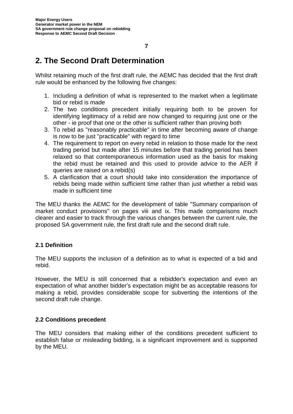### **2. The Second Draft Determination**

Whilst retaining much of the first draft rule, the AEMC has decided that the first draft rule would be enhanced by the following five changes:

- 1. Including a definition of what is represented to the market when a legitimate bid or rebid is made
- 2. The two conditions precedent initially requiring both to be proven for identifying legitimacy of a rebid are now changed to requiring just one or the other - ie proof that one or the other is sufficient rather than proving both
- 3. To rebid as "reasonably practicable" in time after becoming aware of change is now to be just "practicable" with regard to time
- 4. The requirement to report on every rebid in relation to those made for the next trading period but made after 15 minutes before that trading period has been relaxed so that contemporaneous information used as the basis for making the rebid must be retained and this used to provide advice to the AER if queries are raised on a rebid(s)
- 5. A clarification that a court should take into consideration the importance of rebids being made within sufficient time rather than just whether a rebid was made in sufficient time

The MEU thanks the AEMC for the development of table "Summary comparison of market conduct provisions" on pages viii and ix. This made comparisons much clearer and easier to track through the various changes between the current rule, the proposed SA government rule, the first draft rule and the second draft rule.

### **2.1 Definition**

The MEU supports the inclusion of a definition as to what is expected of a bid and rebid.

However, the MEU is still concerned that a rebidder's expectation and even an expectation of what another bidder's expectation might be as acceptable reasons for making a rebid, provides considerable scope for subverting the intentions of the second draft rule change.

### **2.2 Conditions precedent**

The MEU considers that making either of the conditions precedent sufficient to establish false or misleading bidding, is a significant improvement and is supported by the MEU.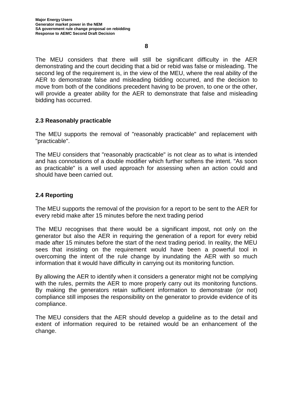The MEU considers that there will still be significant difficulty in the AER demonstrating and the court deciding that a bid or rebid was false or misleading. The second leg of the requirement is, in the view of the MEU, where the real ability of the AER to demonstrate false and misleading bidding occurred, and the decision to move from both of the conditions precedent having to be proven, to one or the other, will provide a greater ability for the AER to demonstrate that false and misleading bidding has occurred.

### **2.3 Reasonably practicable**

The MEU supports the removal of "reasonably practicable" and replacement with "practicable".

The MEU considers that "reasonably practicable" is not clear as to what is intended and has connotations of a double modifier which further softens the intent. "As soon as practicable" is a well used approach for assessing when an action could and should have been carried out.

### **2.4 Reporting**

The MEU supports the removal of the provision for a report to be sent to the AER for every rebid make after 15 minutes before the next trading period

The MEU recognises that there would be a significant impost, not only on the generator but also the AER in requiring the generation of a report for every rebid made after 15 minutes before the start of the next trading period. In reality, the MEU sees that insisting on the requirement would have been a powerful tool in overcoming the intent of the rule change by inundating the AER with so much information that it would have difficulty in carrying out its monitoring function.

By allowing the AER to identify when it considers a generator might not be complying with the rules, permits the AER to more properly carry out its monitoring functions. By making the generators retain sufficient information to demonstrate (or not) compliance still imposes the responsibility on the generator to provide evidence of its compliance.

The MEU considers that the AER should develop a guideline as to the detail and extent of information required to be retained would be an enhancement of the change.